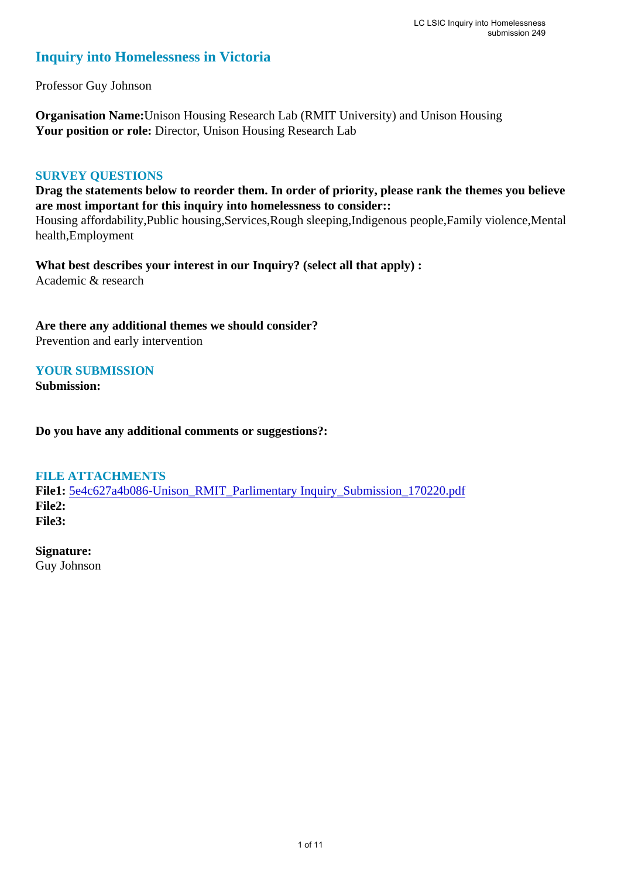## **Inquiry into Homelessness in Victoria**

Professor Guy Johnson

**Organisation Name:**Unison Housing Research Lab (RMIT University) and Unison Housing Your position or role: Director, Unison Housing Research Lab

## **SURVEY QUESTIONS**

**Drag the statements below to reorder them. In order of priority, please rank the themes you believe are most important for this inquiry into homelessness to consider::** 

Housing affordability,Public housing,Services,Rough sleeping,Indigenous people,Family violence,Mental health,Employment

**What best describes your interest in our Inquiry? (select all that apply) :**  Academic & research

**Are there any additional themes we should consider?**

Prevention and early intervention

## **YOUR SUBMISSION**

**Submission:** 

**Do you have any additional comments or suggestions?:** 

### **FILE ATTACHMENTS**

**File1:** [5e4c627a4b086-Unison\\_RMIT\\_Parlimentary Inquiry\\_Submission\\_170220.pdf](https://www.parliament.vic.gov.au/component/rsform/submission-view-file/44babdbcd934c8a0bd30ef4ab0155d4c/d8244bebd8dbfe090bc2d44e5264f6fe?Itemid=527) **File2: File3:** 

**Signature:**

Guy Johnson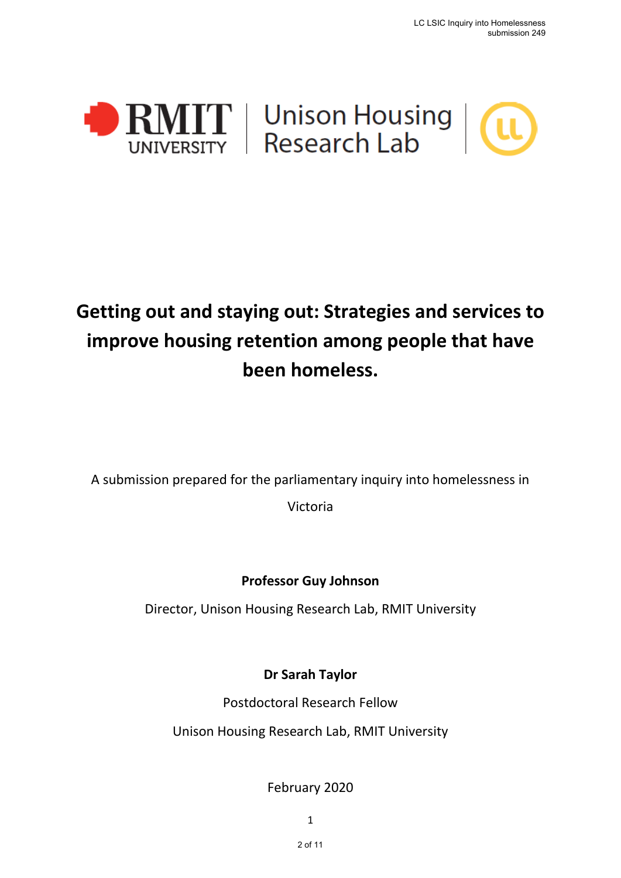



# **Getting out and staying out: Strategies and services to improve housing retention among people that have been homeless.**

A submission prepared for the parliamentary inquiry into homelessness in

Victoria

**Professor Guy Johnson**

Director, Unison Housing Research Lab, RMIT University

**Dr Sarah Taylor**

Postdoctoral Research Fellow

Unison Housing Research Lab, RMIT University

February 2020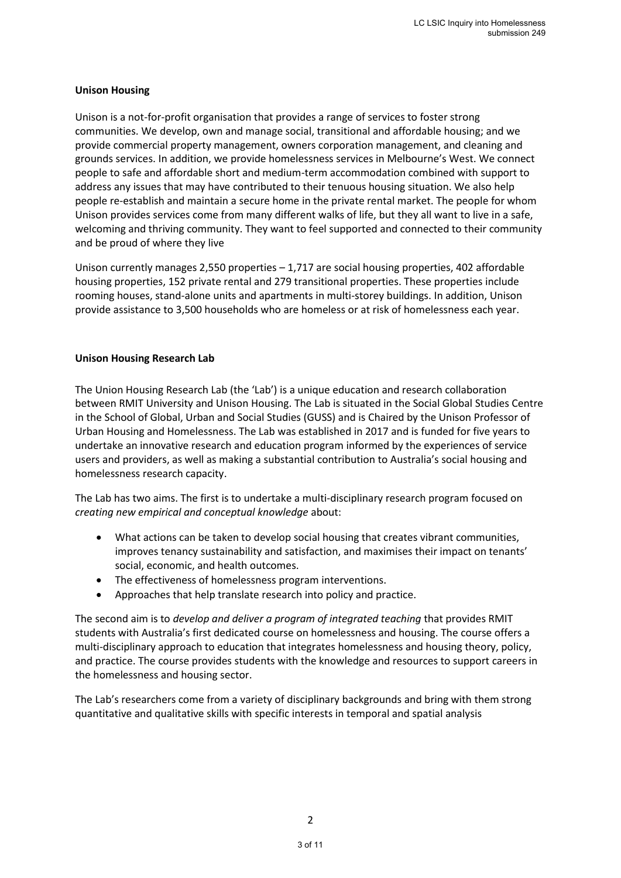#### **Unison Housing**

Unison is a not-for-profit organisation that provides a range of services to foster strong communities. We develop, own and manage social, transitional and affordable housing; and we provide commercial property management, owners corporation management, and cleaning and grounds services. In addition, we provide homelessness services in Melbourne's West. We connect people to safe and affordable short and medium-term accommodation combined with support to address any issues that may have contributed to their tenuous housing situation. We also help people re-establish and maintain a secure home in the private rental market. The people for whom Unison provides services come from many different walks of life, but they all want to live in a safe, welcoming and thriving community. They want to feel supported and connected to their community and be proud of where they live

Unison currently manages 2,550 properties – 1,717 are social housing properties, 402 affordable housing properties, 152 private rental and 279 transitional properties. These properties include rooming houses, stand-alone units and apartments in multi-storey buildings. In addition, Unison provide assistance to 3,500 households who are homeless or at risk of homelessness each year.

#### **Unison Housing Research Lab**

The Union Housing Research Lab (the 'Lab') is a unique education and research collaboration between RMIT University and Unison Housing. The Lab is situated in the Social Global Studies Centre in the School of Global, Urban and Social Studies (GUSS) and is Chaired by the Unison Professor of Urban Housing and Homelessness. The Lab was established in 2017 and is funded for five years to undertake an innovative research and education program informed by the experiences of service users and providers, as well as making a substantial contribution to Australia's social housing and homelessness research capacity.

The Lab has two aims. The first is to undertake a multi-disciplinary research program focused on *creating new empirical and conceptual knowledge* about:

- What actions can be taken to develop social housing that creates vibrant communities, improves tenancy sustainability and satisfaction, and maximises their impact on tenants' social, economic, and health outcomes.
- The effectiveness of homelessness program interventions.
- Approaches that help translate research into policy and practice.

The second aim is to *develop and deliver a program of integrated teaching* that provides RMIT students with Australia's first dedicated course on homelessness and housing. The course offers a multi-disciplinary approach to education that integrates homelessness and housing theory, policy, and practice. The course provides students with the knowledge and resources to support careers in the homelessness and housing sector.

The Lab's researchers come from a variety of disciplinary backgrounds and bring with them strong quantitative and qualitative skills with specific interests in temporal and spatial analysis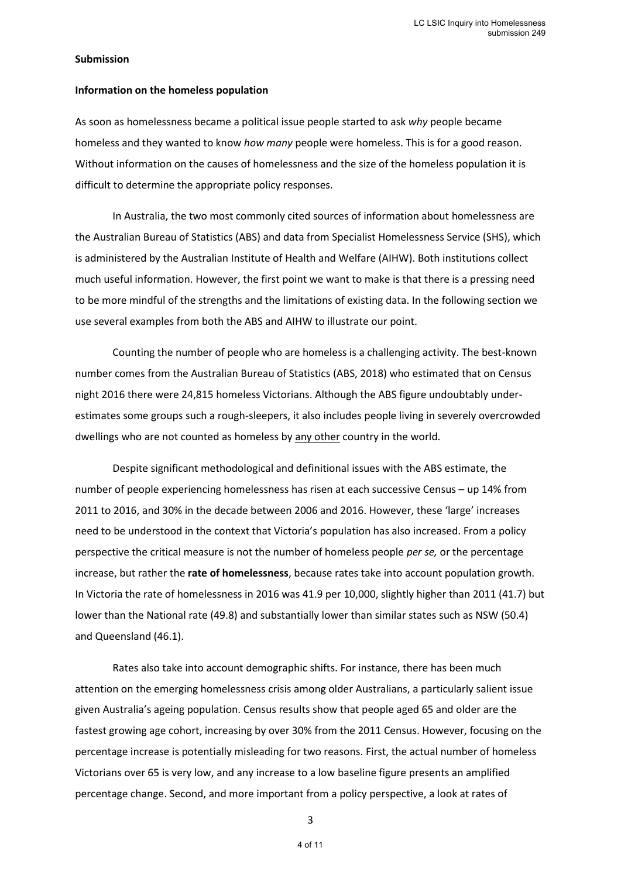#### **Submission**

#### **Information on the homeless population**

As soon as homelessness became a political issue people started to ask *why* people became homeless and they wanted to know *how many* people were homeless. This is for a good reason. Without information on the causes of homelessness and the size of the homeless population it is difficult to determine the appropriate policy responses.

In Australia, the two most commonly cited sources of information about homelessness are the Australian Bureau of Statistics (ABS) and data from Specialist Homelessness Service (SHS), which is administered by the Australian Institute of Health and Welfare (AIHW). Both institutions collect much useful information. However, the first point we want to make is that there is a pressing need to be more mindful of the strengths and the limitations of existing data. In the following section we use several examples from both the ABS and AIHW to illustrate our point.

Counting the number of people who are homeless is a challenging activity. The best-known number comes from the Australian Bureau of Statistics (ABS, 2018) who estimated that on Census night 2016 there were 24,815 homeless Victorians. Although the ABS figure undoubtably underestimates some groups such a rough-sleepers, it also includes people living in severely overcrowded dwellings who are not counted as homeless by any other country in the world.

Despite significant methodological and definitional issues with the ABS estimate, the number of people experiencing homelessness has risen at each successive Census – up 14% from 2011 to 2016, and 30% in the decade between 2006 and 2016. However, these 'large' increases need to be understood in the context that Victoria's population has also increased. From a policy perspective the critical measure is not the number of homeless people *per se,* or the percentage increase, but rather the **rate of homelessness**, because rates take into account population growth. In Victoria the rate of homelessness in 2016 was 41.9 per 10,000, slightly higher than 2011 (41.7) but lower than the National rate (49.8) and substantially lower than similar states such as NSW (50.4) and Queensland (46.1).

Rates also take into account demographic shifts. For instance, there has been much attention on the emerging homelessness crisis among older Australians, a particularly salient issue given Australia's ageing population. Census results show that people aged 65 and older are the fastest growing age cohort, increasing by over 30% from the 2011 Census. However, focusing on the percentage increase is potentially misleading for two reasons. First, the actual number of homeless Victorians over 65 is very low, and any increase to a low baseline figure presents an amplified percentage change. Second, and more important from a policy perspective, a look at rates of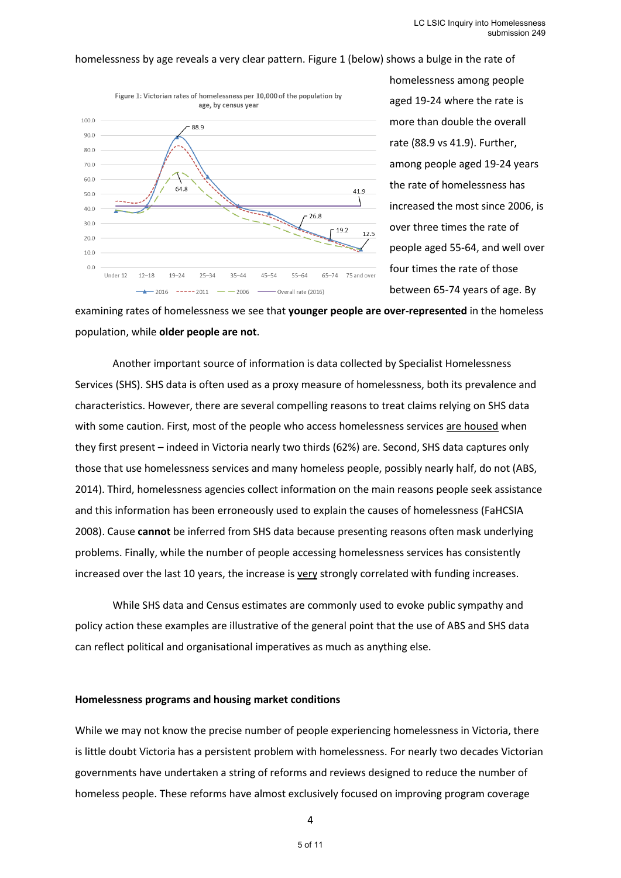#### homelessness by age reveals a very clear pattern. Figure 1 (below) shows a bulge in the rate of



homelessness among people aged 19-24 where the rate is more than double the overall rate (88.9 vs 41.9). Further, among people aged 19-24 years the rate of homelessness has increased the most since 2006, is over three times the rate of people aged 55-64, and well over four times the rate of those between 65-74 years of age. By

examining rates of homelessness we see that **younger people are over-represented** in the homeless population, while **older people are not**.

Another important source of information is data collected by Specialist Homelessness Services (SHS). SHS data is often used as a proxy measure of homelessness, both its prevalence and characteristics. However, there are several compelling reasons to treat claims relying on SHS data with some caution. First, most of the people who access homelessness services are housed when they first present – indeed in Victoria nearly two thirds (62%) are. Second, SHS data captures only those that use homelessness services and many homeless people, possibly nearly half, do not (ABS, 2014). Third, homelessness agencies collect information on the main reasons people seek assistance and this information has been erroneously used to explain the causes of homelessness (FaHCSIA 2008). Cause **cannot** be inferred from SHS data because presenting reasons often mask underlying problems. Finally, while the number of people accessing homelessness services has consistently increased over the last 10 years, the increase is very strongly correlated with funding increases.

While SHS data and Census estimates are commonly used to evoke public sympathy and policy action these examples are illustrative of the general point that the use of ABS and SHS data can reflect political and organisational imperatives as much as anything else.

#### **Homelessness programs and housing market conditions**

While we may not know the precise number of people experiencing homelessness in Victoria, there is little doubt Victoria has a persistent problem with homelessness. For nearly two decades Victorian governments have undertaken a string of reforms and reviews designed to reduce the number of homeless people. These reforms have almost exclusively focused on improving program coverage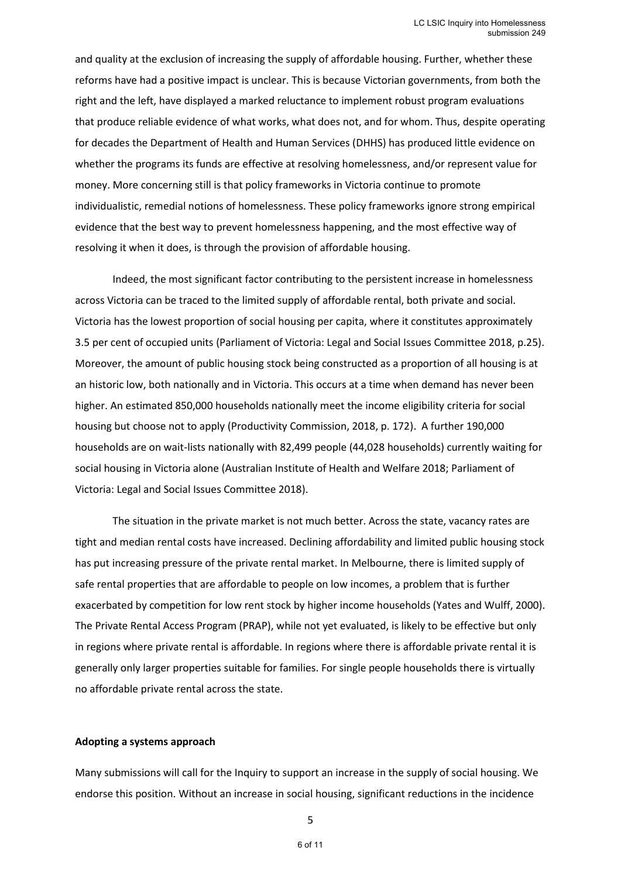and quality at the exclusion of increasing the supply of affordable housing. Further, whether these reforms have had a positive impact is unclear. This is because Victorian governments, from both the right and the left, have displayed a marked reluctance to implement robust program evaluations that produce reliable evidence of what works, what does not, and for whom. Thus, despite operating for decades the Department of Health and Human Services (DHHS) has produced little evidence on whether the programs its funds are effective at resolving homelessness, and/or represent value for money. More concerning still is that policy frameworks in Victoria continue to promote individualistic, remedial notions of homelessness. These policy frameworks ignore strong empirical evidence that the best way to prevent homelessness happening, and the most effective way of resolving it when it does, is through the provision of affordable housing.

Indeed, the most significant factor contributing to the persistent increase in homelessness across Victoria can be traced to the limited supply of affordable rental, both private and social. Victoria has the lowest proportion of social housing per capita, where it constitutes approximately 3.5 per cent of occupied units (Parliament of Victoria: Legal and Social Issues Committee 2018, p.25). Moreover, the amount of public housing stock being constructed as a proportion of all housing is at an historic low, both nationally and in Victoria. This occurs at a time when demand has never been higher. An estimated 850,000 households nationally meet the income eligibility criteria for social housing but choose not to apply (Productivity Commission, 2018, p. 172). A further 190,000 households are on wait-lists nationally with 82,499 people (44,028 households) currently waiting for social housing in Victoria alone (Australian Institute of Health and Welfare 2018; Parliament of Victoria: Legal and Social Issues Committee 2018).

The situation in the private market is not much better. Across the state, vacancy rates are tight and median rental costs have increased. Declining affordability and limited public housing stock has put increasing pressure of the private rental market. In Melbourne, there is limited supply of safe rental properties that are affordable to people on low incomes, a problem that is further exacerbated by competition for low rent stock by higher income households (Yates and Wulff, 2000). The Private Rental Access Program (PRAP), while not yet evaluated, is likely to be effective but only in regions where private rental is affordable. In regions where there is affordable private rental it is generally only larger properties suitable for families. For single people households there is virtually no affordable private rental across the state.

#### **Adopting a systems approach**

Many submissions will call for the Inquiry to support an increase in the supply of social housing. We endorse this position. Without an increase in social housing, significant reductions in the incidence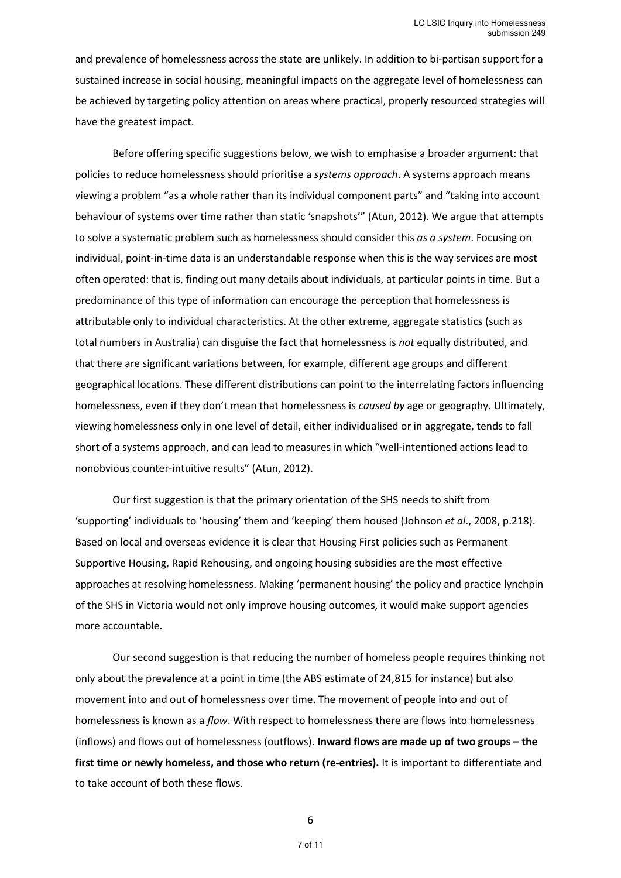and prevalence of homelessness across the state are unlikely. In addition to bi-partisan support for a sustained increase in social housing, meaningful impacts on the aggregate level of homelessness can be achieved by targeting policy attention on areas where practical, properly resourced strategies will have the greatest impact.

Before offering specific suggestions below, we wish to emphasise a broader argument: that policies to reduce homelessness should prioritise a *systems approach*. A systems approach means viewing a problem "as a whole rather than its individual component parts" and "taking into account behaviour of systems over time rather than static 'snapshots'" (Atun, 2012). We argue that attempts to solve a systematic problem such as homelessness should consider this *as a system*. Focusing on individual, point-in-time data is an understandable response when this is the way services are most often operated: that is, finding out many details about individuals, at particular points in time. But a predominance of this type of information can encourage the perception that homelessness is attributable only to individual characteristics. At the other extreme, aggregate statistics (such as total numbers in Australia) can disguise the fact that homelessness is *not* equally distributed, and that there are significant variations between, for example, different age groups and different geographical locations. These different distributions can point to the interrelating factors influencing homelessness, even if they don't mean that homelessness is *caused by* age or geography. Ultimately, viewing homelessness only in one level of detail, either individualised or in aggregate, tends to fall short of a systems approach, and can lead to measures in which "well-intentioned actions lead to nonobvious counter-intuitive results" (Atun, 2012).

Our first suggestion is that the primary orientation of the SHS needs to shift from 'supporting' individuals to 'housing' them and 'keeping' them housed (Johnson *et al*., 2008, p.218). Based on local and overseas evidence it is clear that Housing First policies such as Permanent Supportive Housing, Rapid Rehousing, and ongoing housing subsidies are the most effective approaches at resolving homelessness. Making 'permanent housing' the policy and practice lynchpin of the SHS in Victoria would not only improve housing outcomes, it would make support agencies more accountable.

Our second suggestion is that reducing the number of homeless people requires thinking not only about the prevalence at a point in time (the ABS estimate of 24,815 for instance) but also movement into and out of homelessness over time. The movement of people into and out of homelessness is known as a *flow*. With respect to homelessness there are flows into homelessness (inflows) and flows out of homelessness (outflows). **Inward flows are made up of two groups – the first time or newly homeless, and those who return (re-entries).** It is important to differentiate and to take account of both these flows.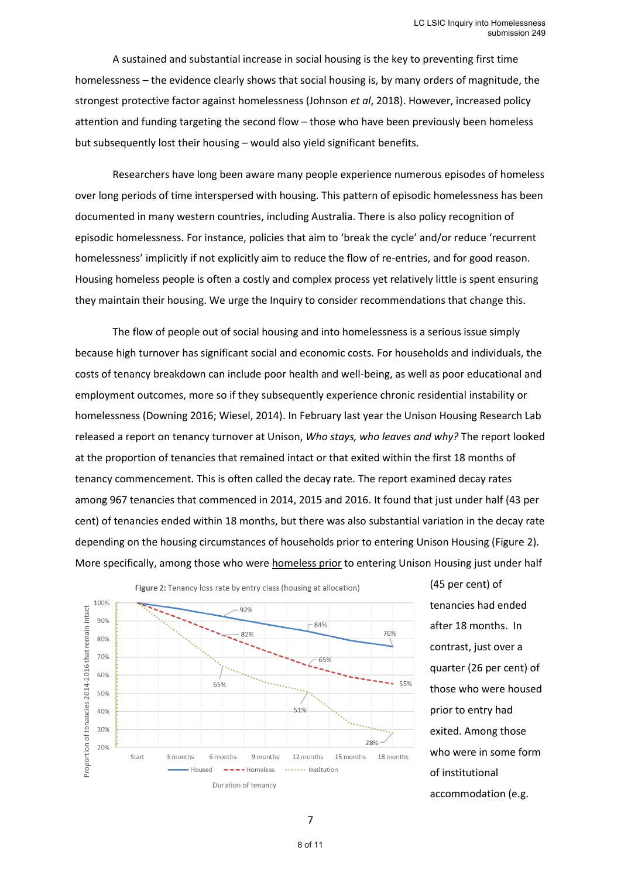A sustained and substantial increase in social housing is the key to preventing first time homelessness – the evidence clearly shows that social housing is, by many orders of magnitude, the strongest protective factor against homelessness (Johnson *et al*, 2018). However, increased policy attention and funding targeting the second flow – those who have been previously been homeless but subsequently lost their housing – would also yield significant benefits.

Researchers have long been aware many people experience numerous episodes of homeless over long periods of time interspersed with housing. This pattern of episodic homelessness has been documented in many western countries, including Australia. There is also policy recognition of episodic homelessness. For instance, policies that aim to 'break the cycle' and/or reduce 'recurrent homelessness' implicitly if not explicitly aim to reduce the flow of re-entries, and for good reason. Housing homeless people is often a costly and complex process yet relatively little is spent ensuring they maintain their housing. We urge the Inquiry to consider recommendations that change this.

The flow of people out of social housing and into homelessness is a serious issue simply because high turnover has significant social and economic costs. For households and individuals, the costs of tenancy breakdown can include poor health and well-being, as well as poor educational and employment outcomes, more so if they subsequently experience chronic residential instability or homelessness (Downing 2016; Wiesel, 2014). In February last year the Unison Housing Research Lab released a report on tenancy turnover at Unison, *Who stays, who leaves and why?* The report looked at the proportion of tenancies that remained intact or that exited within the first 18 months of tenancy commencement. This is often called the decay rate. The report examined decay rates among 967 tenancies that commenced in 2014, 2015 and 2016. It found that just under half (43 per cent) of tenancies ended within 18 months, but there was also substantial variation in the decay rate depending on the housing circumstances of households prior to entering Unison Housing (Figure 2). More specifically, among those who were homeless prior to entering Unison Housing just under half



(45 per cent) of tenancies had ended after 18 months. In contrast, just over a quarter (26 per cent) of those who were housed prior to entry had exited. Among those who were in some form of institutional accommodation (e.g.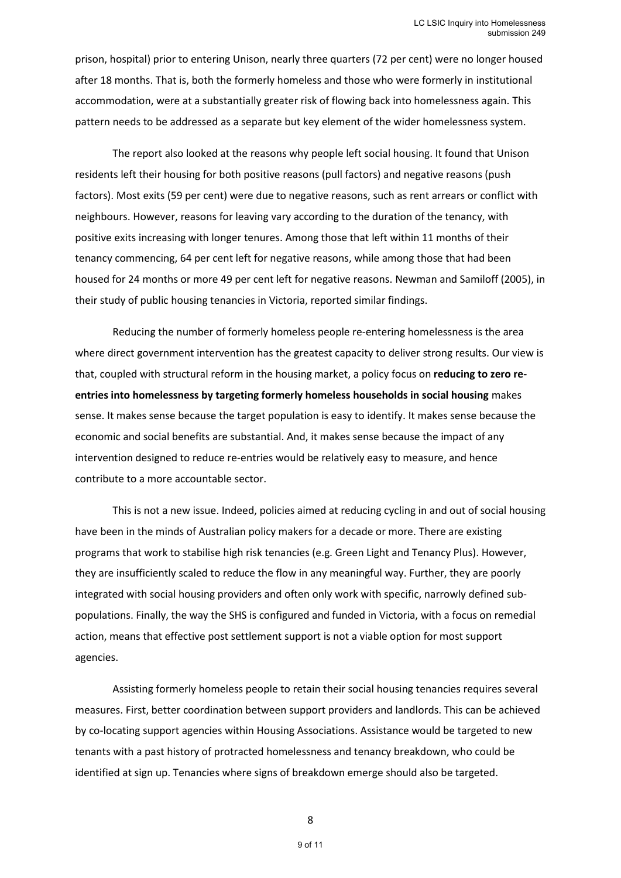prison, hospital) prior to entering Unison, nearly three quarters (72 per cent) were no longer housed after 18 months. That is, both the formerly homeless and those who were formerly in institutional accommodation, were at a substantially greater risk of flowing back into homelessness again. This pattern needs to be addressed as a separate but key element of the wider homelessness system.

The report also looked at the reasons why people left social housing. It found that Unison residents left their housing for both positive reasons (pull factors) and negative reasons (push factors). Most exits (59 per cent) were due to negative reasons, such as rent arrears or conflict with neighbours. However, reasons for leaving vary according to the duration of the tenancy, with positive exits increasing with longer tenures. Among those that left within 11 months of their tenancy commencing, 64 per cent left for negative reasons, while among those that had been housed for 24 months or more 49 per cent left for negative reasons. Newman and Samiloff (2005), in their study of public housing tenancies in Victoria, reported similar findings.

Reducing the number of formerly homeless people re-entering homelessness is the area where direct government intervention has the greatest capacity to deliver strong results. Our view is that, coupled with structural reform in the housing market, a policy focus on **reducing to zero reentries into homelessness by targeting formerly homeless households in social housing** makes sense. It makes sense because the target population is easy to identify. It makes sense because the economic and social benefits are substantial. And, it makes sense because the impact of any intervention designed to reduce re-entries would be relatively easy to measure, and hence contribute to a more accountable sector.

This is not a new issue. Indeed, policies aimed at reducing cycling in and out of social housing have been in the minds of Australian policy makers for a decade or more. There are existing programs that work to stabilise high risk tenancies (e.g. Green Light and Tenancy Plus). However, they are insufficiently scaled to reduce the flow in any meaningful way. Further, they are poorly integrated with social housing providers and often only work with specific, narrowly defined subpopulations. Finally, the way the SHS is configured and funded in Victoria, with a focus on remedial action, means that effective post settlement support is not a viable option for most support agencies.

Assisting formerly homeless people to retain their social housing tenancies requires several measures. First, better coordination between support providers and landlords. This can be achieved by co-locating support agencies within Housing Associations. Assistance would be targeted to new tenants with a past history of protracted homelessness and tenancy breakdown, who could be identified at sign up. Tenancies where signs of breakdown emerge should also be targeted.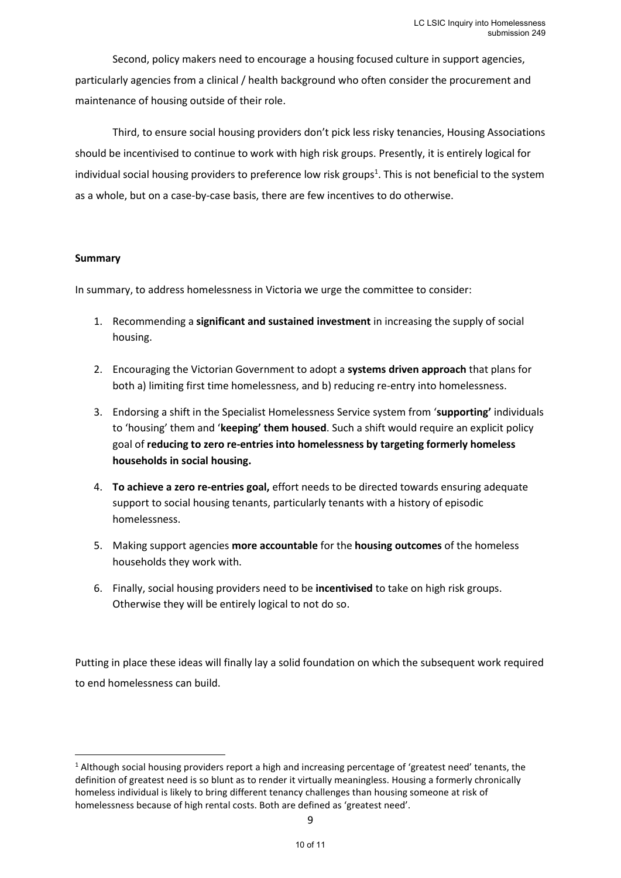Second, policy makers need to encourage a housing focused culture in support agencies, particularly agencies from a clinical / health background who often consider the procurement and maintenance of housing outside of their role.

Third, to ensure social housing providers don't pick less risky tenancies, Housing Associations should be incentivised to continue to work with high risk groups. Presently, it is entirely logical for individual social housing providers to preference low risk groups<sup>1</sup>. This is not beneficial to the system as a whole, but on a case-by-case basis, there are few incentives to do otherwise.

#### **Summary**

In summary, to address homelessness in Victoria we urge the committee to consider:

- 1. Recommending a **significant and sustained investment** in increasing the supply of social housing.
- 2. Encouraging the Victorian Government to adopt a **systems driven approach** that plans for both a) limiting first time homelessness, and b) reducing re-entry into homelessness.
- 3. Endorsing a shift in the Specialist Homelessness Service system from '**supporting'** individuals to 'housing' them and '**keeping' them housed**. Such a shift would require an explicit policy goal of **reducing to zero re-entries into homelessness by targeting formerly homeless households in social housing.**
- 4. **To achieve a zero re-entries goal,** effort needs to be directed towards ensuring adequate support to social housing tenants, particularly tenants with a history of episodic homelessness.
- 5. Making support agencies **more accountable** for the **housing outcomes** of the homeless households they work with.
- 6. Finally, social housing providers need to be **incentivised** to take on high risk groups. Otherwise they will be entirely logical to not do so.

Putting in place these ideas will finally lay a solid foundation on which the subsequent work required to end homelessness can build.

<sup>1</sup> Although social housing providers report a high and increasing percentage of 'greatest need' tenants, the definition of greatest need is so blunt as to render it virtually meaningless. Housing a formerly chronically homeless individual is likely to bring different tenancy challenges than housing someone at risk of homelessness because of high rental costs. Both are defined as 'greatest need'.